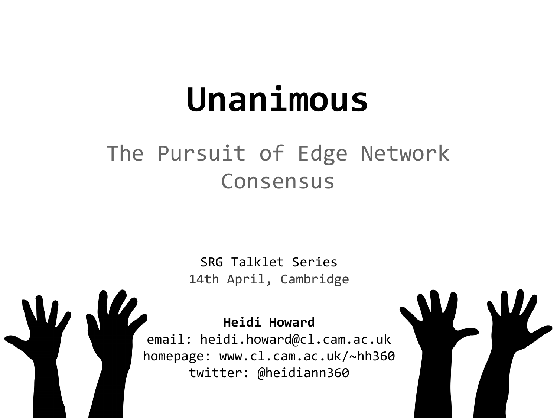# **Unanimous**

#### The Pursuit of Edge Network Consensus

SRG Talklet Series 14th April, Cambridge

**Heidi Howard** email: heidi.howard@cl.cam.ac.uk homepage: www.cl.cam.ac.uk/~hh360 twitter: @heidiann360

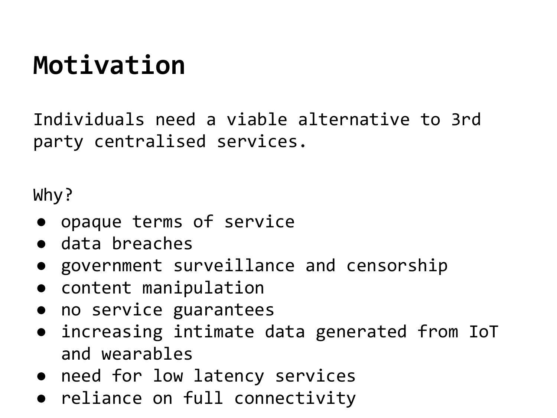# **Motivation**

Individuals need a viable alternative to 3rd party centralised services.

Why?

- opaque terms of service
- data breaches
- government surveillance and censorship
- content manipulation
- no service guarantees
- increasing intimate data generated from IoT and wearables
- need for low latency services
- reliance on full connectivity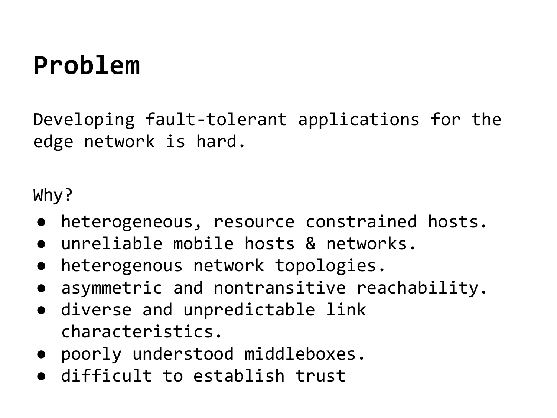### **Problem**

Developing fault-tolerant applications for the edge network is hard.

Why?

- heterogeneous, resource constrained hosts.
- unreliable mobile hosts & networks.
- heterogenous network topologies.
- asymmetric and nontransitive reachability.
- diverse and unpredictable link characteristics.
- poorly understood middleboxes.
- difficult to establish trust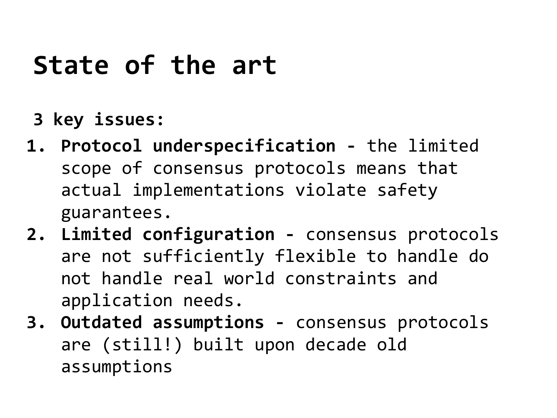### **State of the art**

- **3 key issues:**
- **1. Protocol underspecification -** the limited scope of consensus protocols means that actual implementations violate safety guarantees.
- **2. Limited configuration -** consensus protocols are not sufficiently flexible to handle do not handle real world constraints and application needs.
- **3. Outdated assumptions** consensus protocols are (still!) built upon decade old assumptions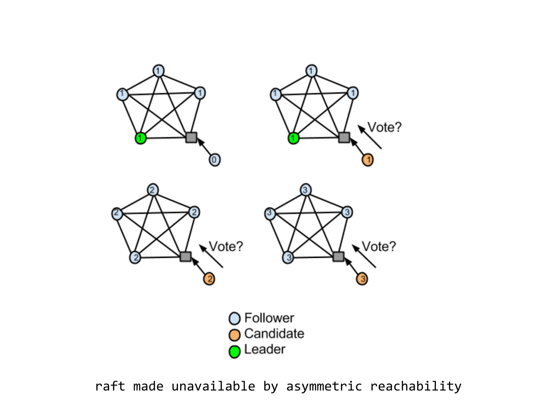

raft made unavailable by asymmetric reachability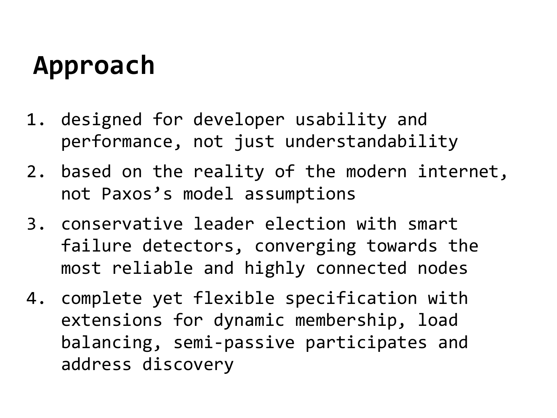# **Approach**

- 1. designed for developer usability and performance, not just understandability
- 2. based on the reality of the modern internet, not Paxos's model assumptions
- 3. conservative leader election with smart failure detectors, converging towards the most reliable and highly connected nodes
- 4. complete yet flexible specification with extensions for dynamic membership, load balancing, semi-passive participates and address discovery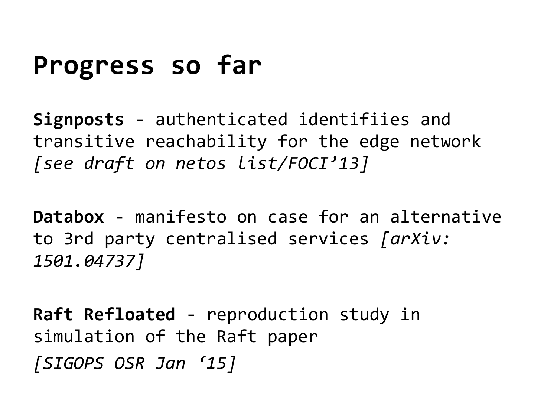#### **Progress so far**

**Signposts** - authenticated identifiies and transitive reachability for the edge network *[see draft on netos list/FOCI'13]*

**Databox -** manifesto on case for an alternative to 3rd party centralised services *[[arXiv:](http://arxiv.org/abs/1501.04737) [1501.04737\]](http://arxiv.org/abs/1501.04737)*

**Raft Refloated** - reproduction study in simulation of the Raft paper *[SIGOPS OSR Jan '15]*